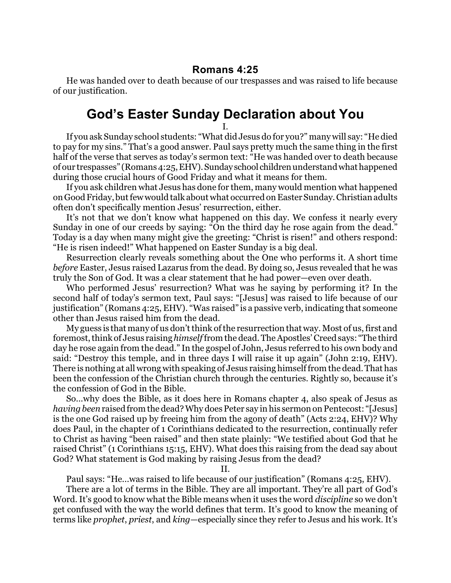## **Romans 4:25**

He was handed over to death because of our trespasses and was raised to life because of our justification.

## **God's Easter Sunday Declaration about You**

I. If you ask Sunday school students: "What did Jesus do for you?" many will say: "He died to pay for my sins." That's a good answer. Paul says pretty much the same thing in the first half of the verse that serves as today's sermon text: "He was handed over to death because of our trespasses" (Romans 4:25,EHV).Sunday school childrenunderstand whathappened during those crucial hours of Good Friday and what it means for them.

If you ask children what Jesus has done for them, many would mention what happened on Good Friday, butfew would talk about what occurred on Easter Sunday. Christian adults often don't specifically mention Jesus' resurrection, either.

It's not that we don't know what happened on this day. We confess it nearly every Sunday in one of our creeds by saying: "On the third day he rose again from the dead." Today is a day when many might give the greeting: "Christ is risen!" and others respond: "He is risen indeed!" What happened on Easter Sunday is a big deal.

Resurrection clearly reveals something about the One who performs it. A short time *before* Easter, Jesus raised Lazarus from the dead. By doing so, Jesus revealed that he was truly the Son of God. It was a clear statement that he had power—even over death.

Who performed Jesus' resurrection? What was he saying by performing it? In the second half of today's sermon text, Paul says: "[Jesus] was raised to life because of our justification" (Romans 4:25, EHV). "Was raised" is a passive verb, indicating that someone other than Jesus raised him from the dead.

My guess is that many of us don't think of the resurrection that way. Most of us, first and foremost, think of Jesus raising *himself*from the dead. The Apostles' Creed says: "The third day he rose again from the dead." In the gospel of John, Jesus referred to his own body and said: "Destroy this temple, and in three days I will raise it up again" (John 2:19, EHV). There is nothing at all wrong with speaking of Jesus raising himselffrom the dead. That has been the confession of the Christian church through the centuries. Rightly so, because it's the confession of God in the Bible.

So...why does the Bible, as it does here in Romans chapter 4, also speak of Jesus as *having been*raised from the dead? Why does Peter say in his sermon on Pentecost: "[Jesus] is the one God raised up by freeing him from the agony of death" (Acts 2:24, EHV)? Why does Paul, in the chapter of 1 Corinthians dedicated to the resurrection, continually refer to Christ as having "been raised" and then state plainly: "We testified about God that he raised Christ" (1 Corinthians 15:15, EHV). What does this raising from the dead say about God? What statement is God making by raising Jesus from the dead?

II.

Paul says: "He...was raised to life because of our justification" (Romans 4:25, EHV).

There are a lot of terms in the Bible. They are all important. They're all part of God's Word. It's good to know what the Bible means when it uses the word *discipline* so we don't get confused with the way the world defines that term. It's good to know the meaning of terms like *prophet*, *priest*, and *king*—especially since they refer to Jesus and his work. It's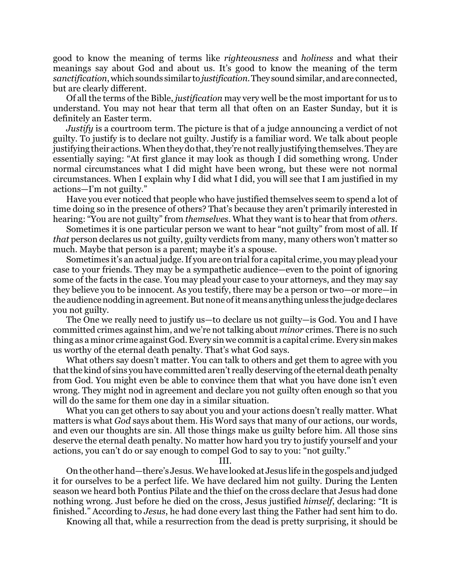good to know the meaning of terms like *righteousness* and *holiness* and what their meanings say about God and about us. It's good to know the meaning of the term *sanctification*, which sounds similar to*justification*.They soundsimilar,andare connected, but are clearly different.

Of all the terms of the Bible, *justification* may very well be the most important for us to understand. You may not hear that term all that often on an Easter Sunday, but it is definitely an Easter term.

*Justify* is a courtroom term. The picture is that of a judge announcing a verdict of not guilty. To justify is to declare not guilty. Justify is a familiar word. We talk about people justifying their actions. When they do that, they're not really justifying themselves. They are essentially saying: "At first glance it may look as though I did something wrong. Under normal circumstances what I did might have been wrong, but these were not normal circumstances. When I explain why I did what I did, you will see that I am justified in my actions—I'm not guilty."

Have you ever noticed that people who have justified themselves seem to spend a lot of time doing so in the presence of others? That's because they aren't primarily interested in hearing: "You are not guilty" from *themselves*. What they want is to hear that from *others*.

Sometimes it is one particular person we want to hear "not guilty" from most of all. If *that* person declares us not guilty, guilty verdicts from many, many others won't matter so much. Maybe that person is a parent; maybe it's a spouse.

Sometimes it's an actual judge. If you are on trial for a capital crime, you may plead your case to your friends. They may be a sympathetic audience—even to the point of ignoring some of the facts in the case. You may plead your case to your attorneys, and they may say they believe you to be innocent. As you testify, there may be a person or two—or more—in the audience nodding in agreement. But none of it means anything unless the judge declares you not guilty.

The One we really need to justify us—to declare us not guilty—is God. You and I have committed crimes against him, and we're not talking about *minor* crimes. There is no such thing as a minor crime against God. Every sin we commit is a capital crime. Every sin makes us worthy of the eternal death penalty. That's what God says.

What others say doesn't matter. You can talk to others and get them to agree with you that the kind of sins you have committed aren't really deserving of the eternal death penalty from God. You might even be able to convince them that what you have done isn't even wrong. They might nod in agreement and declare you not guilty often enough so that you will do the same for them one day in a similar situation.

What you can get others to say about you and your actions doesn't really matter. What matters is what *God* says about them. His Word says that many of our actions, our words, and even our thoughts are sin. All those things make us guilty before him. All those sins deserve the eternal death penalty. No matter how hard you try to justify yourself and your actions, you can't do or say enough to compel God to say to you: "not guilty."

III.

On the other hand—there's Jesus. We have looked at Jesus life in the gospels and judged it for ourselves to be a perfect life. We have declared him not guilty. During the Lenten season we heard both Pontius Pilate and the thief on the cross declare that Jesus had done nothing wrong. Just before he died on the cross, Jesus justified *himself*, declaring: "It is finished." According to *Jesus*, he had done every last thing the Father had sent him to do.

Knowing all that, while a resurrection from the dead is pretty surprising, it should be